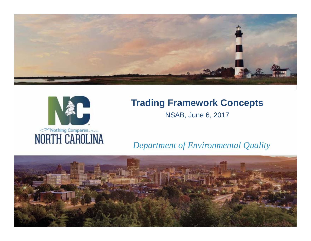



## **Trading Framework Concepts**

NSAB, June 6, 2017

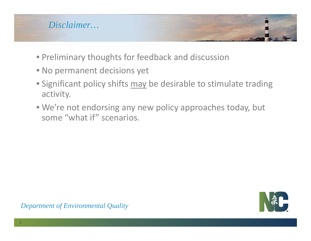

- Preliminary thoughts for feedback and discussion
- No permanent decisions yet
- Significant policy shifts may be desirable to stimulate trading activity.
- We're not endorsing any new policy approaches today, but some "what if" scenarios.

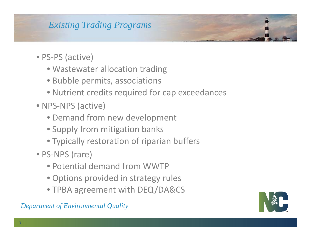#### *Existing Trading Programs*

- PS‐PS (active)
	- Wastewater allocation trading
	- Bubble permits, associations
	- Nutrient credits required for cap exceedances
- NPS‐NPS (active)
	- Demand from new development
	- Supply from mitigation banks
	- Typically restoration of riparian buffers
- PS‐NPS (rare)
	- Potential demand from WWTP
	- Options provided in strategy rules
	- TPBA agreement with DEQ/DA&CS

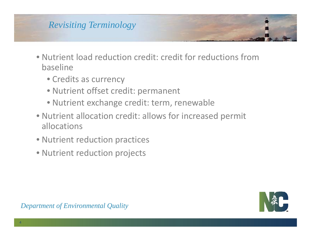## *Revisiting Terminology*

- Nutrient load reduction credit: credit for reductions frombaseline
	- Credits as currency
	- Nutrient offset credit: permanent
	- Nutrient exchange credit: term, renewable
- Nutrient allocation credit: allows for increased permit allocations
- Nutrient reduction practices
- Nutrient reduction projects

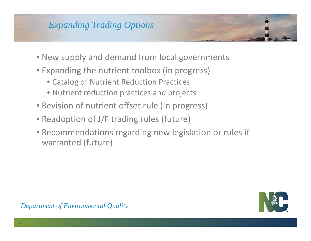#### *Expanding Trading Options*

- New supply and demand from local governments
- Expanding the nutrient toolbox (in progress)
	- Catalog of Nutrient Reduction Practices
	- Nutrient reduction practices and projects
- Revision of nutrient offset rule (in progress)
- Readoption of J/F trading rules (future)
- Recommendations regarding new legislation or rules if warranted (future)

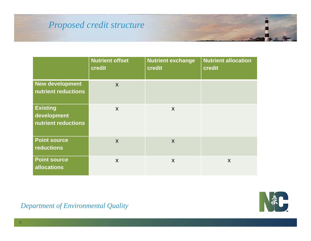#### *Proposed credit structure*

|                                                       | <b>Nutrient offset</b><br>credit | <b>Nutrient exchange</b><br>credit | <b>Nutrient allocation</b><br>credit |
|-------------------------------------------------------|----------------------------------|------------------------------------|--------------------------------------|
| New development<br>nutrient reductions                | $\mathsf{X}$                     |                                    |                                      |
| <b>Existing</b><br>development<br>nutrient reductions | $\mathsf{X}$                     | $\boldsymbol{X}$                   |                                      |
| <b>Point source</b><br><b>reductions</b>              | $\mathsf{X}$                     | X                                  |                                      |
| <b>Point source</b><br><b>allocations</b>             | $\mathsf{X}$                     | X                                  | X                                    |

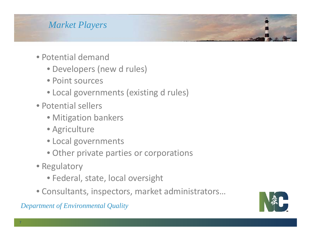### *Market Players*

- Potential demand
	- Developers (new d rules)
	- Point sources
	- Local governments (existing d rules)
- Potential sellers
	- Mitigation bankers
	- Agriculture
	- Local governments
	- Other private parties or corporations
- Regulatory
	- Federal, state, local oversight
- Consultants, inspectors, market administrators…

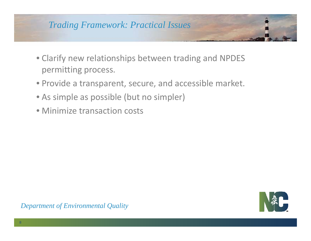# *Trading Framework: Practical Issues*

- Clarify new relationships between trading and NPDES permitting process.
- Provide <sup>a</sup> transparent, secure, and accessible market.
- As simple as possible (but no simpler)
- Minimize transaction costs

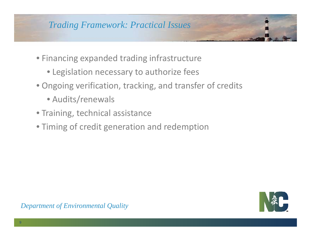#### *Trading Framework: Practical Issues*

- Financing expanded trading infrastructure
	- Legislation necessary to authorize fees
- Ongoing verification, tracking, and transfer of credits
	- Audits/renewals
- Training, technical assistance
- Timing of credit generation and redemption

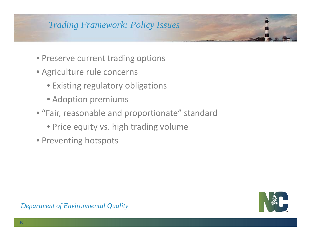#### *Trading Framework: Policy Issues*

- Preserve current trading options
- Agriculture rule concerns
	- Existing regulatory obligations
	- Adoption premiums
- "Fair, reasonable and proportionate" standard
	- Price equity vs. high trading volume
- Preventing hotspots

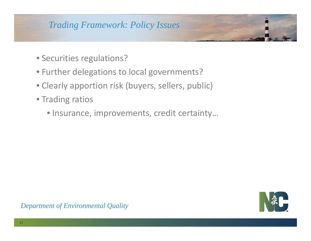#### *Trading Framework: Policy Issues*

- Securities regulations?
- Further delegations to local governments?
- Clearly apportion risk (buyers, sellers, public)
- Trading ratios
	- Insurance, improvements, credit certainty…

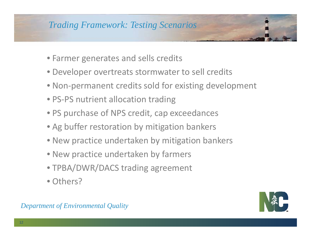#### *Trading Framework: Testing Scenarios*

- Farmer generates and sells credits
- Developer overtreats stormwater to sell credits
- Non‐permanent credits sold for existing development
- PS-PS nutrient allocation trading
- PS purchase of NPS credit, cap exceedances
- Ag buffer restoration by mitigation bankers
- New practice undertaken by mitigation bankers
- New practice undertaken by farmers
- TPBA/DWR/DACS trading agreement
- Others?

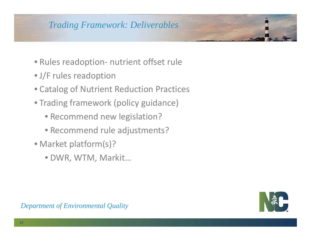#### *Trading Framework: Deliverables*

- Rules readoption‐ nutrient offset rule
- J/F rules readoption
- Catalog of Nutrient Reduction Practices
- Trading framework (policy guidance)
	- Recommend new legislation?
	- Recommend rule adjustments?
- Market platform(s)?
	- DWR, WTM, Markit…

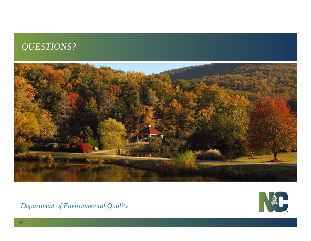### *QUESTIONS?*



NAC